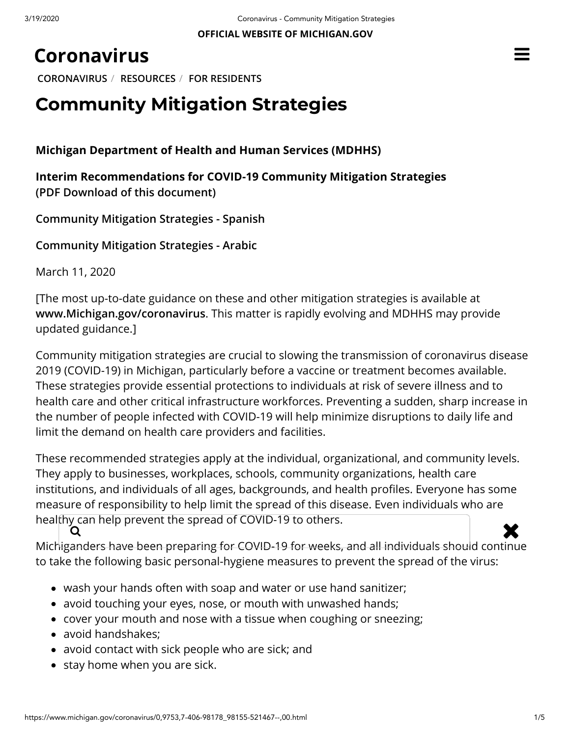# **[Coronavirus](https://www.michigan.gov/coronavirus/)**

**[CORONAVIRUS](https://www.michigan.gov/coronavirus/)** / **[RESOURCES](https://www.michigan.gov/coronavirus/0,9753,7-406-98178---,00.html)** / **[FOR RESIDENTS](https://www.michigan.gov/coronavirus/0,9753,7-406-98178_98155---,00.html)**

# **Community Mitigation Strategies**

**Michigan Department of Health and Human Services (MDHHS)**

**Interim Recommendations for COVID-19 Community Mitigation Strategies [\(PDF Download of this document\)](https://www.michigan.gov/documents/coronavirus/MDHHS_Interim_Recommendations_for_COVID-19_final_683589_7.pdf)**

**[Community Mitigation Strategies - Spanish](https://www.michigan.gov/documents/coronavirus/MDHHS_Interim_Recommendations_for_COVID-19_final_2_Spanish_1_683713_7.pdf)**

**[Community Mitigation Strategies - Arabic](https://www.michigan.gov/documents/coronavirus/MDHHS_Interim_Recommendations_for_COVID-19_final_2_Arabic_683714_7.pdf)**

March 11, 2020

[The most up-to-date guidance on these and other mitigation strategies is available at **[www.Michigan.gov/coronavirus](https://www.michigan.gov/coronavirus)**. This matter is rapidly evolving and MDHHS may provide updated guidance.]

Community mitigation strategies are crucial to slowing the transmission of coronavirus disease 2019 (COVID-19) in Michigan, particularly before a vaccine or treatment becomes available. These strategies provide essential protections to individuals at risk of severe illness and to health care and other critical infrastructure workforces. Preventing a sudden, sharp increase in the number of people infected with COVID-19 will help minimize disruptions to daily life and limit the demand on health care providers and facilities.

These recommended strategies apply at the individual, organizational, and community levels. They apply to businesses, workplaces, schools, community organizations, health care institutions, and individuals of all ages, backgrounds, and health profiles. Everyone has some measure of responsibility to help limit the spread of this disease. Even individuals who are healthy can help prevent the spread of COVID-19 to others.<br>  $\begin{array}{ccc}\n\bullet & \bullet & \bullet \\
\bullet & \bullet & \bullet\n\end{array}$ 

Michiganders have been preparing for COVID-19 for weeks, and all individuals should continue to take the following basic personal-hygiene measures to prevent the spread of the virus:

- wash your hands often with soap and water or use hand sanitizer;
- avoid touching your eyes, nose, or mouth with unwashed hands;
- cover your mouth and nose with a tissue when coughing or sneezing;
- avoid handshakes;
- avoid contact with sick people who are sick; and
- stay home when you are sick.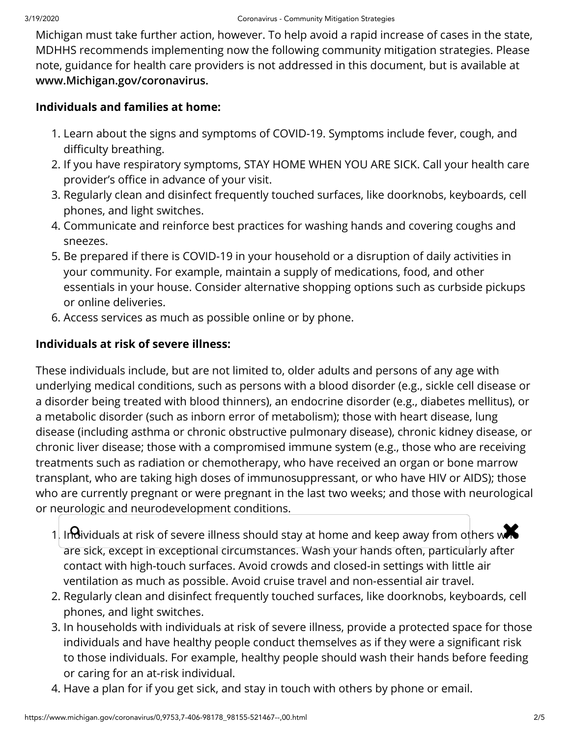Michigan must take further action, however. To help avoid a rapid increase of cases in the state, MDHHS recommends implementing now the following community mitigation strategies. Please note, guidance for health care providers is not addressed in this document, but is available at **[www.Michigan.gov/coronavirus.](https://www.michigan.gov/coronavirus)**

#### **Individuals and families at home:**

- 1. Learn about the signs and symptoms of COVID-19. Symptoms include fever, cough, and difficulty breathing.
- 2. If you have respiratory symptoms, STAY HOME WHEN YOU ARE SICK. Call your health care provider's office in advance of your visit.
- 3. Regularly clean and disinfect frequently touched surfaces, like doorknobs, keyboards, cell phones, and light switches.
- 4. Communicate and reinforce best practices for washing hands and covering coughs and sneezes.
- 5. Be prepared if there is COVID-19 in your household or a disruption of daily activities in your community. For example, maintain a supply of medications, food, and other essentials in your house. Consider alternative shopping options such as curbside pickups or online deliveries.
- 6. Access services as much as possible online or by phone.

#### **Individuals at risk of severe illness:**

These individuals include, but are not limited to, older adults and persons of any age with underlying medical conditions, such as persons with a blood disorder (e.g., sickle cell disease or a disorder being treated with blood thinners), an endocrine disorder (e.g., diabetes mellitus), or a metabolic disorder (such as inborn error of metabolism); those with heart disease, lung disease (including asthma or chronic obstructive pulmonary disease), chronic kidney disease, or chronic liver disease; those with a compromised immune system (e.g., those who are receiving treatments such as radiation or chemotherapy, who have received an organ or bone marrow transplant, who are taking high doses of immunosuppressant, or who have HIV or AIDS); those who are currently pregnant or were pregnant in the last two weeks; and those with neurological or neurologic and neurodevelopment conditions.

- 1. In  $\theta$ ividuals at risk of severe illness should stay at home and keep away from others w $\blacktriangle$ are sick, except in exceptional circumstances. Wash your hands often, particularly after contact with high-touch surfaces. Avoid crowds and closed-in settings with little air ventilation as much as possible. Avoid cruise travel and non-essential air travel.
- 2. Regularly clean and disinfect frequently touched surfaces, like doorknobs, keyboards, cell phones, and light switches.
- 3. In households with individuals at risk of severe illness, provide a protected space for those individuals and have healthy people conduct themselves as if they were a significant risk to those individuals. For example, healthy people should wash their hands before feeding or caring for an at-risk individual.
- 4. Have a plan for if you get sick, and stay in touch with others by phone or email.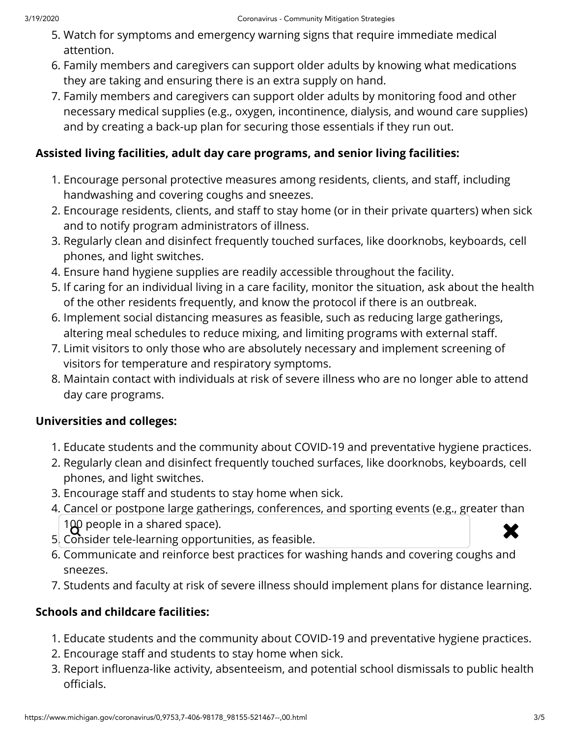- 5. Watch for symptoms and emergency warning signs that require immediate medical attention.
- 6. Family members and caregivers can support older adults by knowing what medications they are taking and ensuring there is an extra supply on hand.
- 7. Family members and caregivers can support older adults by monitoring food and other necessary medical supplies (e.g., oxygen, incontinence, dialysis, and wound care supplies) and by creating a back-up plan for securing those essentials if they run out.

### **Assisted living facilities, adult day care programs, and senior living facilities:**

- 1. Encourage personal protective measures among residents, clients, and staff, including handwashing and covering coughs and sneezes.
- 2. Encourage residents, clients, and staff to stay home (or in their private quarters) when sick and to notify program administrators of illness.
- 3. Regularly clean and disinfect frequently touched surfaces, like doorknobs, keyboards, cell phones, and light switches.
- 4. Ensure hand hygiene supplies are readily accessible throughout the facility.
- 5. If caring for an individual living in a care facility, monitor the situation, ask about the health of the other residents frequently, and know the protocol if there is an outbreak.
- 6. Implement social distancing measures as feasible, such as reducing large gatherings, altering meal schedules to reduce mixing, and limiting programs with external staff.
- 7. Limit visitors to only those who are absolutely necessary and implement screening of visitors for temperature and respiratory symptoms.
- 8. Maintain contact with individuals at risk of severe illness who are no longer able to attend day care programs.

### **Universities and colleges:**

- 1. Educate students and the community about COVID-19 and preventative hygiene practices.
- 2. Regularly clean and disinfect frequently touched surfaces, like doorknobs, keyboards, cell phones, and light switches.
- 3. Encourage staff and students to stay home when sick.
- 4. Cancel or postpone large gatherings, conferences, and sporting events (e.g., greater than 100 people in a shared space).  $\begin{array}{c} 100 \text{ people in a shared space).}\ \end{array}$  5. Consider tele-learning opportunities, as feasible.
- 
- 6. Communicate and reinforce best practices for washing hands and covering coughs and sneezes.
- 7. Students and faculty at risk of severe illness should implement plans for distance learning.

## **Schools and childcare facilities:**

- 1. Educate students and the community about COVID-19 and preventative hygiene practices.
- 2. Encourage staff and students to stay home when sick.
- 3. Report influenza-like activity, absenteeism, and potential school dismissals to public health officials.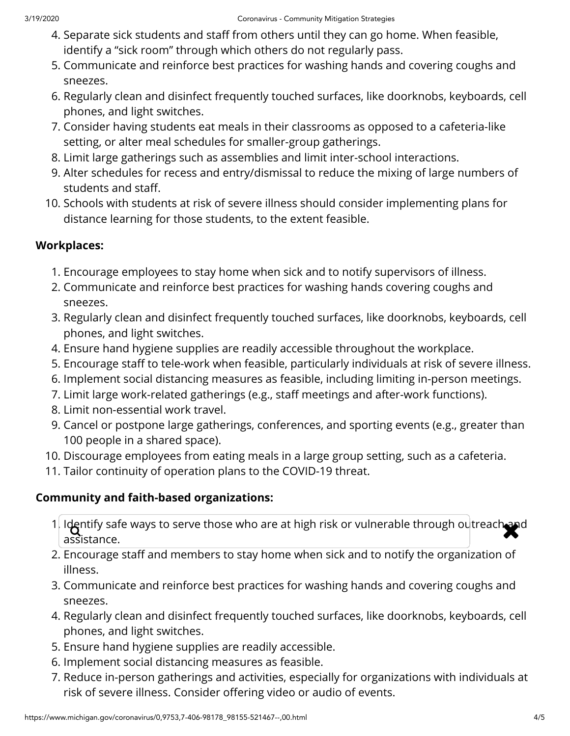- 4. Separate sick students and staff from others until they can go home. When feasible, identify a "sick room" through which others do not regularly pass.
- 5. Communicate and reinforce best practices for washing hands and covering coughs and sneezes.
- 6. Regularly clean and disinfect frequently touched surfaces, like doorknobs, keyboards, cell phones, and light switches.
- 7. Consider having students eat meals in their classrooms as opposed to a cafeteria-like setting, or alter meal schedules for smaller-group gatherings.
- 8. Limit large gatherings such as assemblies and limit inter-school interactions.
- 9. Alter schedules for recess and entry/dismissal to reduce the mixing of large numbers of students and staff.
- 10. Schools with students at risk of severe illness should consider implementing plans for distance learning for those students, to the extent feasible.

### **Workplaces:**

- 1. Encourage employees to stay home when sick and to notify supervisors of illness.
- 2. Communicate and reinforce best practices for washing hands covering coughs and sneezes.
- 3. Regularly clean and disinfect frequently touched surfaces, like doorknobs, keyboards, cell phones, and light switches.
- 4. Ensure hand hygiene supplies are readily accessible throughout the workplace.
- 5. Encourage staff to tele-work when feasible, particularly individuals at risk of severe illness.
- 6. Implement social distancing measures as feasible, including limiting in-person meetings.
- 7. Limit large work-related gatherings (e.g., staff meetings and after-work functions).
- 8. Limit non-essential work travel.
- 9. Cancel or postpone large gatherings, conferences, and sporting events (e.g., greater than 100 people in a shared space).
- 10. Discourage employees from eating meals in a large group setting, such as a cafeteria.
- 11. Tailor continuity of operation plans to the COVID-19 threat.

### **Community and faith-based organizations:**

- 1. Identify safe ways to serve those who are at high risk or vulnerable through outreach and  $\sim$ assistance.
- 2. Encourage staff and members to stay home when sick and to notify the organization of illness.
- 3. Communicate and reinforce best practices for washing hands and covering coughs and sneezes.
- 4. Regularly clean and disinfect frequently touched surfaces, like doorknobs, keyboards, cell phones, and light switches.
- 5. Ensure hand hygiene supplies are readily accessible.
- 6. Implement social distancing measures as feasible.
- 7. Reduce in-person gatherings and activities, especially for organizations with individuals at risk of severe illness. Consider offering video or audio of events.